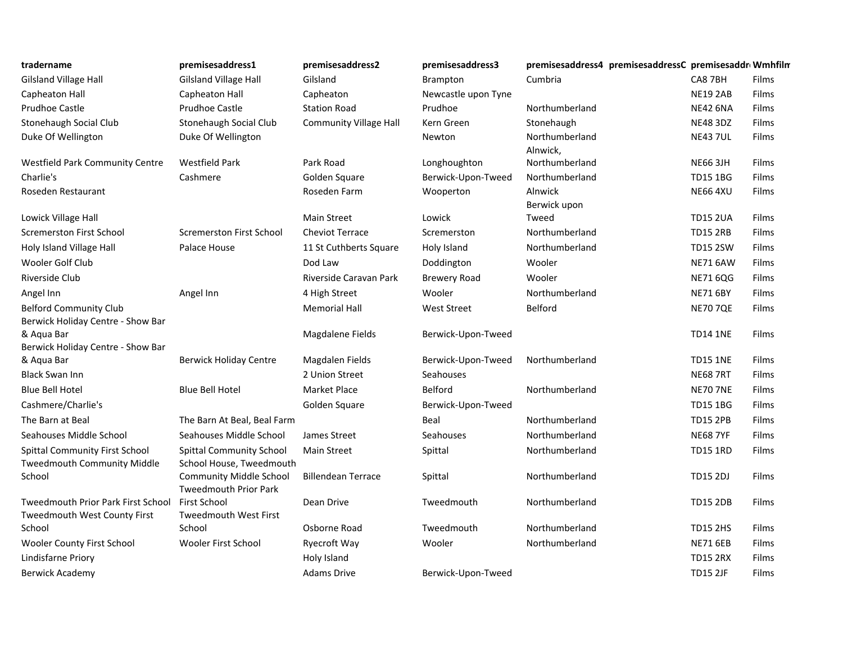| tradername                                | premisesaddress1                                    | premisesaddress2              | premisesaddress3    | premisesaddress4 premisesaddressC premisesaddr Wmhfilm |                 |       |
|-------------------------------------------|-----------------------------------------------------|-------------------------------|---------------------|--------------------------------------------------------|-----------------|-------|
| Gilsland Village Hall                     | <b>Gilsland Village Hall</b>                        | Gilsland                      | Brampton            | Cumbria                                                | CA8 7BH         | Films |
| Capheaton Hall                            | Capheaton Hall                                      | Capheaton                     | Newcastle upon Tyne |                                                        | <b>NE19 2AB</b> | Films |
| Prudhoe Castle                            | <b>Prudhoe Castle</b>                               | <b>Station Road</b>           | Prudhoe             | Northumberland                                         | <b>NE42 6NA</b> | Films |
| Stonehaugh Social Club                    | Stonehaugh Social Club                              | <b>Community Village Hall</b> | Kern Green          | Stonehaugh                                             | <b>NE48 3DZ</b> | Films |
| Duke Of Wellington                        | Duke Of Wellington                                  |                               | Newton              | Northumberland<br>Alnwick,                             | <b>NE43 7UL</b> | Films |
| <b>Westfield Park Community Centre</b>    | <b>Westfield Park</b>                               | Park Road                     | Longhoughton        | Northumberland                                         | <b>NE66 3JH</b> | Films |
| Charlie's                                 | Cashmere                                            | Golden Square                 | Berwick-Upon-Tweed  | Northumberland                                         | <b>TD15 1BG</b> | Films |
| Roseden Restaurant                        |                                                     | Roseden Farm                  | Wooperton           | Alnwick<br>Berwick upon                                | <b>NE66 4XU</b> | Films |
| Lowick Village Hall                       |                                                     | <b>Main Street</b>            | Lowick              | Tweed                                                  | <b>TD15 2UA</b> | Films |
| <b>Scremerston First School</b>           | <b>Scremerston First School</b>                     | <b>Cheviot Terrace</b>        | Scremerston         | Northumberland                                         | <b>TD15 2RB</b> | Films |
| Holy Island Village Hall                  | Palace House                                        | 11 St Cuthberts Square        | Holy Island         | Northumberland                                         | <b>TD15 2SW</b> | Films |
| Wooler Golf Club                          |                                                     | Dod Law                       | Doddington          | Wooler                                                 | <b>NE71 6AW</b> | Films |
| Riverside Club                            |                                                     | Riverside Caravan Park        | <b>Brewery Road</b> | Wooler                                                 | <b>NE71 6QG</b> | Films |
| Angel Inn                                 | Angel Inn                                           | 4 High Street                 | Wooler              | Northumberland                                         | <b>NE71 6BY</b> | Films |
| <b>Belford Community Club</b>             |                                                     | <b>Memorial Hall</b>          | <b>West Street</b>  | Belford                                                | <b>NE70 7QE</b> | Films |
| Berwick Holiday Centre - Show Bar         |                                                     |                               |                     |                                                        |                 |       |
| & Aqua Bar                                |                                                     | Magdalene Fields              | Berwick-Upon-Tweed  |                                                        | <b>TD14 1NE</b> | Films |
| Berwick Holiday Centre - Show Bar         |                                                     |                               |                     |                                                        |                 |       |
| & Aqua Bar                                | <b>Berwick Holiday Centre</b>                       | Magdalen Fields               | Berwick-Upon-Tweed  | Northumberland                                         | <b>TD15 1NE</b> | Films |
| <b>Black Swan Inn</b>                     |                                                     | 2 Union Street                | <b>Seahouses</b>    |                                                        | <b>NE68 7RT</b> | Films |
| <b>Blue Bell Hotel</b>                    | <b>Blue Bell Hotel</b>                              | Market Place                  | Belford             | Northumberland                                         | <b>NE70 7NE</b> | Films |
| Cashmere/Charlie's                        |                                                     | Golden Square                 | Berwick-Upon-Tweed  |                                                        | <b>TD15 1BG</b> | Films |
| The Barn at Beal                          | The Barn At Beal, Beal Farm                         |                               | Beal                | Northumberland                                         | <b>TD15 2PB</b> | Films |
| Seahouses Middle School                   | Seahouses Middle School                             | James Street                  | <b>Seahouses</b>    | Northumberland                                         | <b>NE68 7YF</b> | Films |
| <b>Spittal Community First School</b>     | <b>Spittal Community School</b>                     | <b>Main Street</b>            | Spittal             | Northumberland                                         | <b>TD15 1RD</b> | Films |
| <b>Tweedmouth Community Middle</b>        | School House, Tweedmouth                            |                               |                     |                                                        |                 |       |
| School                                    | <b>Community Middle School</b>                      | <b>Billendean Terrace</b>     | Spittal             | Northumberland                                         | <b>TD15 2DJ</b> | Films |
| <b>Tweedmouth Prior Park First School</b> | <b>Tweedmouth Prior Park</b><br><b>First School</b> | Dean Drive                    | Tweedmouth          | Northumberland                                         | <b>TD15 2DB</b> | Films |
| Tweedmouth West County First              | <b>Tweedmouth West First</b>                        |                               |                     |                                                        |                 |       |
| School                                    | School                                              | Osborne Road                  | Tweedmouth          | Northumberland                                         | <b>TD15 2HS</b> | Films |
| <b>Wooler County First School</b>         | <b>Wooler First School</b>                          | Ryecroft Way                  | Wooler              | Northumberland                                         | <b>NE71 6EB</b> | Films |
| Lindisfarne Priory                        |                                                     | Holy Island                   |                     |                                                        | <b>TD15 2RX</b> | Films |
| Berwick Academy                           |                                                     | <b>Adams Drive</b>            | Berwick-Upon-Tweed  |                                                        | <b>TD15 2JF</b> | Films |
|                                           |                                                     |                               |                     |                                                        |                 |       |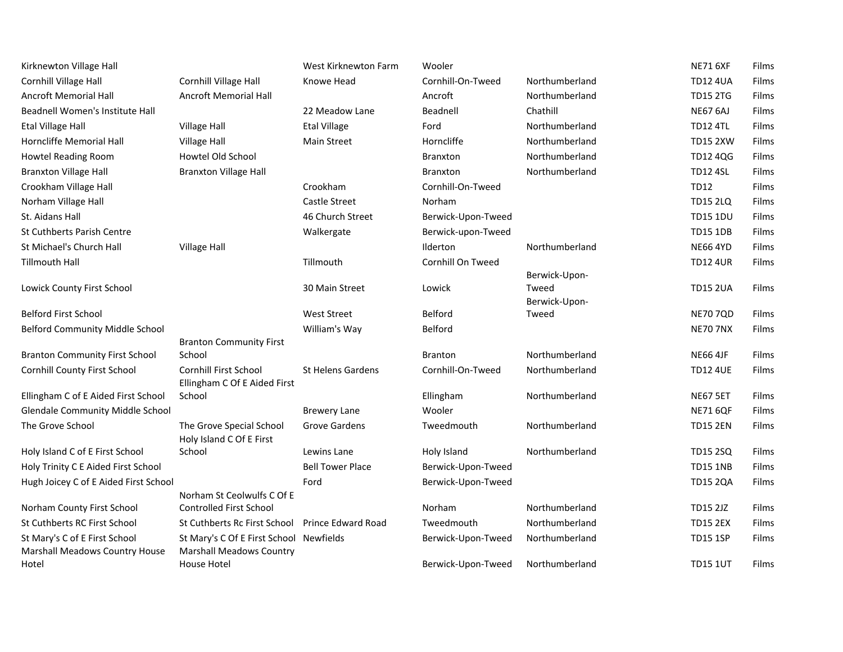| Kirknewton Village Hall                                                |                                                                            | West Kirknewton Farm     | Wooler             |                                         | <b>NE71 6XF</b> | Films |
|------------------------------------------------------------------------|----------------------------------------------------------------------------|--------------------------|--------------------|-----------------------------------------|-----------------|-------|
| Cornhill Village Hall                                                  | Cornhill Village Hall                                                      | Knowe Head               | Cornhill-On-Tweed  | Northumberland                          | <b>TD12 4UA</b> | Films |
| <b>Ancroft Memorial Hall</b>                                           | <b>Ancroft Memorial Hall</b>                                               |                          | Ancroft            | Northumberland                          | <b>TD15 2TG</b> | Films |
| Beadnell Women's Institute Hall                                        |                                                                            | 22 Meadow Lane           | Beadnell           | Chathill                                | <b>NE67 6AJ</b> | Films |
| <b>Etal Village Hall</b>                                               | <b>Village Hall</b>                                                        | <b>Etal Village</b>      | Ford               | Northumberland                          | <b>TD12 4TL</b> | Films |
| Horncliffe Memorial Hall                                               | <b>Village Hall</b>                                                        | <b>Main Street</b>       | Horncliffe         | Northumberland                          | <b>TD15 2XW</b> | Films |
| <b>Howtel Reading Room</b>                                             | Howtel Old School                                                          |                          | <b>Branxton</b>    | Northumberland                          | <b>TD12 4QG</b> | Films |
| <b>Branxton Village Hall</b>                                           | <b>Branxton Village Hall</b>                                               |                          | <b>Branxton</b>    | Northumberland                          | <b>TD12 4SL</b> | Films |
| Crookham Village Hall                                                  |                                                                            | Crookham                 | Cornhill-On-Tweed  |                                         | <b>TD12</b>     | Films |
| Norham Village Hall                                                    |                                                                            | Castle Street            | Norham             |                                         | <b>TD15 2LQ</b> | Films |
| St. Aidans Hall                                                        |                                                                            | 46 Church Street         | Berwick-Upon-Tweed |                                         | <b>TD15 1DU</b> | Films |
| <b>St Cuthberts Parish Centre</b>                                      |                                                                            | Walkergate               | Berwick-upon-Tweed |                                         | <b>TD15 1DB</b> | Films |
| St Michael's Church Hall                                               | <b>Village Hall</b>                                                        |                          | Ilderton           | Northumberland                          | <b>NE66 4YD</b> | Films |
| <b>Tillmouth Hall</b>                                                  |                                                                            | Tillmouth                | Cornhill On Tweed  |                                         | <b>TD12 4UR</b> | Films |
| Lowick County First School                                             |                                                                            | 30 Main Street           | Lowick             | Berwick-Upon-<br>Tweed<br>Berwick-Upon- | <b>TD15 2UA</b> | Films |
| <b>Belford First School</b>                                            |                                                                            | <b>West Street</b>       | <b>Belford</b>     | Tweed                                   | <b>NE70 7QD</b> | Films |
| Belford Community Middle School                                        |                                                                            | William's Way            | Belford            |                                         | <b>NE70 7NX</b> | Films |
|                                                                        | <b>Branton Community First</b>                                             |                          |                    |                                         |                 |       |
| <b>Branton Community First School</b>                                  | School                                                                     |                          | <b>Branton</b>     | Northumberland                          | <b>NE66 4JF</b> | Films |
| <b>Cornhill County First School</b>                                    | <b>Cornhill First School</b><br>Ellingham C Of E Aided First               | <b>St Helens Gardens</b> | Cornhill-On-Tweed  | Northumberland                          | <b>TD12 4UE</b> | Films |
| Ellingham C of E Aided First School                                    | School                                                                     |                          | Ellingham          | Northumberland                          | <b>NE67 5ET</b> | Films |
| <b>Glendale Community Middle School</b>                                |                                                                            | <b>Brewery Lane</b>      | Wooler             |                                         | <b>NE71 6QF</b> | Films |
| The Grove School                                                       | The Grove Special School<br>Holy Island C Of E First                       | <b>Grove Gardens</b>     | Tweedmouth         | Northumberland                          | <b>TD15 2EN</b> | Films |
| Holy Island C of E First School                                        | School                                                                     | Lewins Lane              | Holy Island        | Northumberland                          | TD15 2SQ        | Films |
| Holy Trinity C E Aided First School                                    |                                                                            | <b>Bell Tower Place</b>  | Berwick-Upon-Tweed |                                         | <b>TD15 1NB</b> | Films |
| Hugh Joicey C of E Aided First School                                  |                                                                            | Ford                     | Berwick-Upon-Tweed |                                         | <b>TD15 2QA</b> | Films |
|                                                                        | Norham St Ceolwulfs C Of E                                                 |                          |                    |                                         |                 |       |
| Norham County First School                                             | <b>Controlled First School</b>                                             |                          | Norham             | Northumberland                          | <b>TD15 2JZ</b> | Films |
| St Cuthberts RC First School                                           | St Cuthberts Rc First School Prince Edward Road                            |                          | Tweedmouth         | Northumberland                          | <b>TD15 2EX</b> | Films |
| St Mary's C of E First School<br><b>Marshall Meadows Country House</b> | St Mary's C Of E First School Newfields<br><b>Marshall Meadows Country</b> |                          | Berwick-Upon-Tweed | Northumberland                          | <b>TD15 1SP</b> | Films |
| Hotel                                                                  | House Hotel                                                                |                          | Berwick-Upon-Tweed | Northumberland                          | <b>TD15 1UT</b> | Films |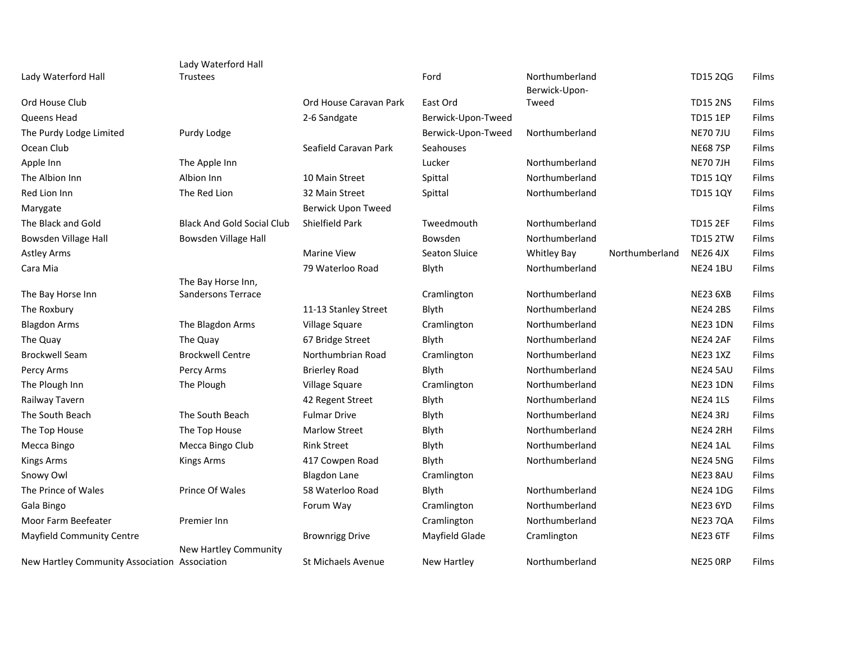|                                               | Lady Waterford Hall               |                           |                    |                                 |                |                 |       |
|-----------------------------------------------|-----------------------------------|---------------------------|--------------------|---------------------------------|----------------|-----------------|-------|
| Lady Waterford Hall                           | <b>Trustees</b>                   |                           | Ford               | Northumberland<br>Berwick-Upon- |                | <b>TD15 2QG</b> | Films |
| Ord House Club                                |                                   | Ord House Caravan Park    | East Ord           | Tweed                           |                | <b>TD15 2NS</b> | Films |
| Queens Head                                   |                                   | 2-6 Sandgate              | Berwick-Upon-Tweed |                                 |                | <b>TD15 1EP</b> | Films |
| The Purdy Lodge Limited                       | Purdy Lodge                       |                           | Berwick-Upon-Tweed | Northumberland                  |                | <b>NE70 7JU</b> | Films |
| Ocean Club                                    |                                   | Seafield Caravan Park     | Seahouses          |                                 |                | <b>NE68 7SP</b> | Films |
| Apple Inn                                     | The Apple Inn                     |                           | Lucker             | Northumberland                  |                | <b>NE70 7JH</b> | Films |
| The Albion Inn                                | Albion Inn                        | 10 Main Street            | Spittal            | Northumberland                  |                | <b>TD15 1QY</b> | Films |
| Red Lion Inn                                  | The Red Lion                      | 32 Main Street            | Spittal            | Northumberland                  |                | <b>TD15 1QY</b> | Films |
| Marygate                                      |                                   | Berwick Upon Tweed        |                    |                                 |                |                 | Films |
| The Black and Gold                            | <b>Black And Gold Social Club</b> | <b>Shielfield Park</b>    | Tweedmouth         | Northumberland                  |                | <b>TD15 2EF</b> | Films |
| Bowsden Village Hall                          | Bowsden Village Hall              |                           | Bowsden            | Northumberland                  |                | <b>TD15 2TW</b> | Films |
| <b>Astley Arms</b>                            |                                   | <b>Marine View</b>        | Seaton Sluice      | <b>Whitley Bay</b>              | Northumberland | <b>NE26 4JX</b> | Films |
| Cara Mia                                      |                                   | 79 Waterloo Road          | Blyth              | Northumberland                  |                | <b>NE24 1BU</b> | Films |
|                                               | The Bay Horse Inn,                |                           |                    |                                 |                |                 |       |
| The Bay Horse Inn                             | Sandersons Terrace                |                           | Cramlington        | Northumberland                  |                | <b>NE23 6XB</b> | Films |
| The Roxbury                                   |                                   | 11-13 Stanley Street      | Blyth              | Northumberland                  |                | <b>NE24 2BS</b> | Films |
| <b>Blagdon Arms</b>                           | The Blagdon Arms                  | Village Square            | Cramlington        | Northumberland                  |                | <b>NE23 1DN</b> | Films |
| The Quay                                      | The Quay                          | 67 Bridge Street          | Blyth              | Northumberland                  |                | <b>NE24 2AF</b> | Films |
| <b>Brockwell Seam</b>                         | <b>Brockwell Centre</b>           | Northumbrian Road         | Cramlington        | Northumberland                  |                | <b>NE23 1XZ</b> | Films |
| Percy Arms                                    | Percy Arms                        | <b>Brierley Road</b>      | Blyth              | Northumberland                  |                | <b>NE24 5AU</b> | Films |
| The Plough Inn                                | The Plough                        | Village Square            | Cramlington        | Northumberland                  |                | <b>NE23 1DN</b> | Films |
| Railway Tavern                                |                                   | 42 Regent Street          | Blyth              | Northumberland                  |                | <b>NE24 1LS</b> | Films |
| The South Beach                               | The South Beach                   | <b>Fulmar Drive</b>       | Blyth              | Northumberland                  |                | <b>NE24 3RJ</b> | Films |
| The Top House                                 | The Top House                     | <b>Marlow Street</b>      | Blyth              | Northumberland                  |                | <b>NE24 2RH</b> | Films |
| Mecca Bingo                                   | Mecca Bingo Club                  | <b>Rink Street</b>        | Blyth              | Northumberland                  |                | <b>NE24 1AL</b> | Films |
| <b>Kings Arms</b>                             | <b>Kings Arms</b>                 | 417 Cowpen Road           | Blyth              | Northumberland                  |                | <b>NE24 5NG</b> | Films |
| Snowy Owl                                     |                                   | <b>Blagdon Lane</b>       | Cramlington        |                                 |                | NE23 8AU        | Films |
| The Prince of Wales                           | Prince Of Wales                   | 58 Waterloo Road          | Blyth              | Northumberland                  |                | <b>NE24 1DG</b> | Films |
| Gala Bingo                                    |                                   | Forum Way                 | Cramlington        | Northumberland                  |                | <b>NE23 6YD</b> | Films |
| Moor Farm Beefeater                           | Premier Inn                       |                           | Cramlington        | Northumberland                  |                | <b>NE23 7QA</b> | Films |
| <b>Mayfield Community Centre</b>              |                                   | <b>Brownrigg Drive</b>    | Mayfield Glade     | Cramlington                     |                | <b>NE23 6TF</b> | Films |
|                                               | <b>New Hartley Community</b>      |                           |                    |                                 |                |                 |       |
| New Hartley Community Association Association |                                   | <b>St Michaels Avenue</b> | New Hartley        | Northumberland                  |                | <b>NE25 ORP</b> | Films |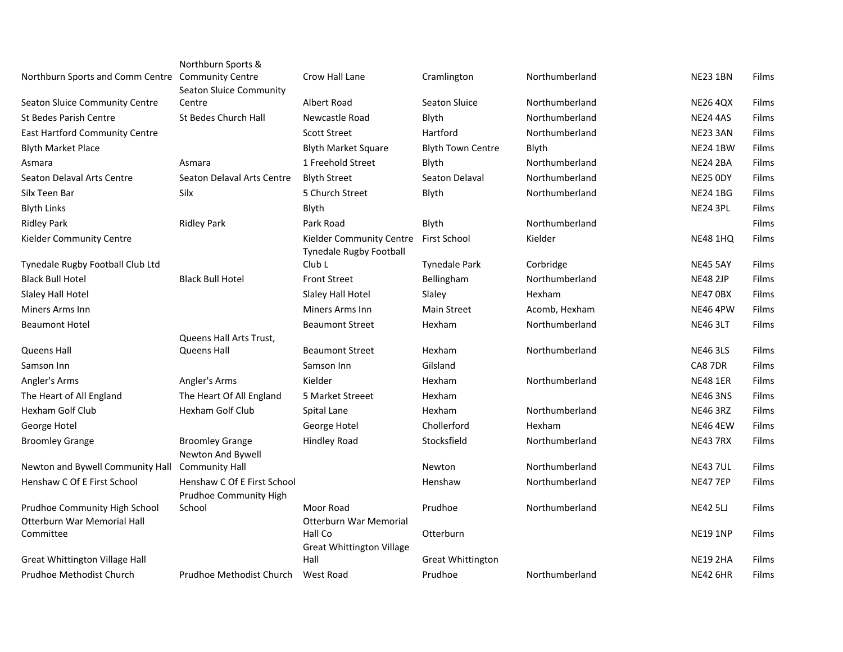|                                                                 | Northburn Sports &                                   |                                                     |                          |                |                 |       |
|-----------------------------------------------------------------|------------------------------------------------------|-----------------------------------------------------|--------------------------|----------------|-----------------|-------|
| Northburn Sports and Comm Centre Community Centre               | <b>Seaton Sluice Community</b>                       | Crow Hall Lane                                      | Cramlington              | Northumberland | <b>NE23 1BN</b> | Films |
| Seaton Sluice Community Centre                                  | Centre                                               | <b>Albert Road</b>                                  | <b>Seaton Sluice</b>     | Northumberland | <b>NE26 4QX</b> | Films |
| St Bedes Parish Centre                                          | St Bedes Church Hall                                 | Newcastle Road                                      | Blyth                    | Northumberland | <b>NE24 4AS</b> | Films |
| East Hartford Community Centre                                  |                                                      | <b>Scott Street</b>                                 | Hartford                 | Northumberland | NE23 3AN        | Films |
| <b>Blyth Market Place</b>                                       |                                                      | <b>Blyth Market Square</b>                          | <b>Blyth Town Centre</b> | Blyth          | <b>NE24 1BW</b> | Films |
| Asmara                                                          | Asmara                                               | 1 Freehold Street                                   | Blyth                    | Northumberland | <b>NE24 2BA</b> | Films |
| Seaton Delaval Arts Centre                                      | Seaton Delaval Arts Centre                           | <b>Blyth Street</b>                                 | Seaton Delaval           | Northumberland | NE25 ODY        | Films |
| Silx Teen Bar                                                   | Silx                                                 | 5 Church Street                                     | Blyth                    | Northumberland | <b>NE24 1BG</b> | Films |
| <b>Blyth Links</b>                                              |                                                      | Blyth                                               |                          |                | <b>NE24 3PL</b> | Films |
| <b>Ridley Park</b>                                              | <b>Ridley Park</b>                                   | Park Road                                           | Blyth                    | Northumberland |                 | Films |
| Kielder Community Centre                                        |                                                      | Kielder Community Centre<br>Tynedale Rugby Football | First School             | Kielder        | <b>NE48 1HQ</b> | Films |
| Tynedale Rugby Football Club Ltd                                |                                                      | Club L                                              | <b>Tynedale Park</b>     | Corbridge      | <b>NE45 5AY</b> | Films |
| <b>Black Bull Hotel</b>                                         | <b>Black Bull Hotel</b>                              | <b>Front Street</b>                                 | Bellingham               | Northumberland | <b>NE48 2JP</b> | Films |
| Slaley Hall Hotel                                               |                                                      | Slaley Hall Hotel                                   | Slaley                   | Hexham         | <b>NE47 0BX</b> | Films |
| Miners Arms Inn                                                 |                                                      | Miners Arms Inn                                     | <b>Main Street</b>       | Acomb, Hexham  | <b>NE46 4PW</b> | Films |
| <b>Beaumont Hotel</b>                                           |                                                      | <b>Beaumont Street</b>                              | Hexham                   | Northumberland | <b>NE46 3LT</b> | Films |
|                                                                 | Queens Hall Arts Trust,                              |                                                     |                          |                |                 |       |
| <b>Queens Hall</b>                                              | Queens Hall                                          | <b>Beaumont Street</b>                              | Hexham                   | Northumberland | <b>NE46 3LS</b> | Films |
| Samson Inn                                                      |                                                      | Samson Inn                                          | Gilsland                 |                | CA8 7DR         | Films |
| Angler's Arms                                                   | Angler's Arms                                        | Kielder                                             | Hexham                   | Northumberland | <b>NE48 1ER</b> | Films |
| The Heart of All England                                        | The Heart Of All England                             | 5 Market Streeet                                    | Hexham                   |                | <b>NE46 3NS</b> | Films |
| <b>Hexham Golf Club</b>                                         | Hexham Golf Club                                     | Spital Lane                                         | Hexham                   | Northumberland | <b>NE46 3RZ</b> | Films |
| George Hotel                                                    |                                                      | George Hotel                                        | Chollerford              | Hexham         | <b>NE46 4EW</b> | Films |
| <b>Broomley Grange</b>                                          | <b>Broomley Grange</b>                               | <b>Hindley Road</b>                                 | Stocksfield              | Northumberland | <b>NE43 7RX</b> | Films |
|                                                                 | Newton And Bywell                                    |                                                     | Newton                   | Northumberland |                 | Films |
| Newton and Bywell Community Hall<br>Henshaw C Of E First School | <b>Community Hall</b><br>Henshaw C Of E First School |                                                     |                          |                | <b>NE43 7UL</b> |       |
|                                                                 | Prudhoe Community High                               |                                                     | Henshaw                  | Northumberland | <b>NE47 7EP</b> | Films |
| Prudhoe Community High School                                   | School                                               | Moor Road                                           | Prudhoe                  | Northumberland | <b>NE42 5LJ</b> | Films |
| Otterburn War Memorial Hall                                     |                                                      | <b>Otterburn War Memorial</b>                       |                          |                |                 |       |
| Committee                                                       |                                                      | Hall Co                                             | Otterburn                |                | <b>NE19 1NP</b> | Films |
|                                                                 |                                                      | <b>Great Whittington Village</b>                    |                          |                |                 |       |
| Great Whittington Village Hall                                  |                                                      | Hall                                                | <b>Great Whittington</b> |                | <b>NE19 2HA</b> | Films |
| Prudhoe Methodist Church                                        | Prudhoe Methodist Church                             | West Road                                           | Prudhoe                  | Northumberland | <b>NE42 6HR</b> | Films |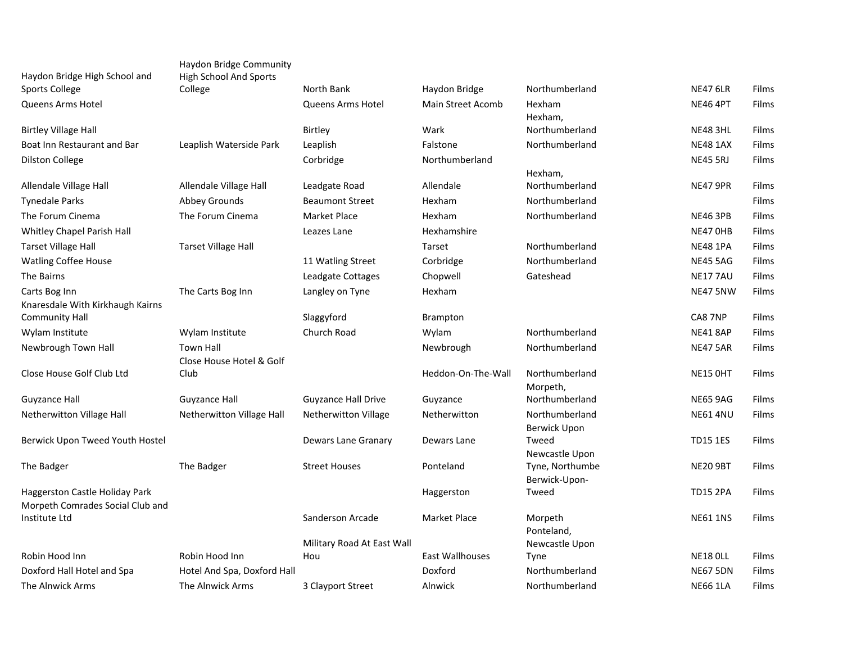| Haydon Bridge High School and         | Haydon Bridge Community<br><b>High School And Sports</b> |                            |                          |                              |                 |       |
|---------------------------------------|----------------------------------------------------------|----------------------------|--------------------------|------------------------------|-----------------|-------|
| Sports College                        | College                                                  | North Bank                 | Haydon Bridge            | Northumberland               | <b>NE47 6LR</b> | Films |
| Queens Arms Hotel                     |                                                          | Queens Arms Hotel          | <b>Main Street Acomb</b> | Hexham                       | <b>NE46 4PT</b> | Films |
|                                       |                                                          |                            |                          | Hexham,                      |                 |       |
| <b>Birtley Village Hall</b>           |                                                          | <b>Birtley</b>             | Wark                     | Northumberland               | <b>NE48 3HL</b> | Films |
| Boat Inn Restaurant and Bar           | Leaplish Waterside Park                                  | Leaplish                   | Falstone                 | Northumberland               | <b>NE48 1AX</b> | Films |
| <b>Dilston College</b>                |                                                          | Corbridge                  | Northumberland           |                              | <b>NE45 5RJ</b> | Films |
|                                       |                                                          |                            |                          | Hexham,                      |                 |       |
| Allendale Village Hall                | Allendale Village Hall                                   | Leadgate Road              | Allendale                | Northumberland               | <b>NE47 9PR</b> | Films |
| <b>Tynedale Parks</b>                 | Abbey Grounds                                            | <b>Beaumont Street</b>     | Hexham                   | Northumberland               |                 | Films |
| The Forum Cinema                      | The Forum Cinema                                         | Market Place               | Hexham                   | Northumberland               | <b>NE46 3PB</b> | Films |
| Whitley Chapel Parish Hall            |                                                          | Leazes Lane                | Hexhamshire              |                              | NE47 OHB        | Films |
| <b>Tarset Village Hall</b>            | <b>Tarset Village Hall</b>                               |                            | Tarset                   | Northumberland               | <b>NE48 1PA</b> | Films |
| <b>Watling Coffee House</b>           |                                                          | 11 Watling Street          | Corbridge                | Northumberland               | <b>NE45 5AG</b> | Films |
| The Bairns                            |                                                          | Leadgate Cottages          | Chopwell                 | Gateshead                    | <b>NE177AU</b>  | Films |
| Carts Bog Inn                         | The Carts Bog Inn                                        | Langley on Tyne            | Hexham                   |                              | <b>NE47 5NW</b> | Films |
| Knaresdale With Kirkhaugh Kairns      |                                                          |                            |                          |                              |                 |       |
| <b>Community Hall</b>                 |                                                          | Slaggyford                 | <b>Brampton</b>          |                              | CA8 7NP         | Films |
| Wylam Institute                       | Wylam Institute                                          | Church Road                | Wylam                    | Northumberland               | <b>NE41 8AP</b> | Films |
| Newbrough Town Hall                   | <b>Town Hall</b>                                         |                            | Newbrough                | Northumberland               | <b>NE47 5AR</b> | Films |
|                                       | Close House Hotel & Golf                                 |                            |                          |                              |                 |       |
| Close House Golf Club Ltd             | Club                                                     |                            | Heddon-On-The-Wall       | Northumberland               | <b>NE15 OHT</b> | Films |
|                                       |                                                          |                            |                          | Morpeth,                     |                 |       |
| Guyzance Hall                         | <b>Guyzance Hall</b>                                     | <b>Guyzance Hall Drive</b> | Guyzance                 | Northumberland               | <b>NE65 9AG</b> | Films |
| Netherwitton Village Hall             | Netherwitton Village Hall                                | Netherwitton Village       | Netherwitton             | Northumberland               | <b>NE61 4NU</b> | Films |
| Berwick Upon Tweed Youth Hostel       |                                                          | Dewars Lane Granary        | Dewars Lane              | <b>Berwick Upon</b><br>Tweed | <b>TD15 1ES</b> | Films |
|                                       |                                                          |                            |                          | Newcastle Upon               |                 |       |
| The Badger                            | The Badger                                               | <b>Street Houses</b>       | Ponteland                | Tyne, Northumbe              | <b>NE20 9BT</b> | Films |
|                                       |                                                          |                            |                          | Berwick-Upon-                |                 |       |
| <b>Haggerston Castle Holiday Park</b> |                                                          |                            | Haggerston               | Tweed                        | <b>TD15 2PA</b> | Films |
| Morpeth Comrades Social Club and      |                                                          |                            |                          |                              |                 |       |
| Institute Ltd                         |                                                          | Sanderson Arcade           | Market Place             | Morpeth                      | <b>NE61 1NS</b> | Films |
|                                       |                                                          | Military Road At East Wall |                          | Ponteland,<br>Newcastle Upon |                 |       |
| Robin Hood Inn                        | Robin Hood Inn                                           | Hou                        | <b>East Wallhouses</b>   | <b>Tyne</b>                  | <b>NE18 OLL</b> | Films |
| Doxford Hall Hotel and Spa            | Hotel And Spa, Doxford Hall                              |                            | Doxford                  | Northumberland               | <b>NE67 5DN</b> | Films |
| The Alnwick Arms                      | The Alnwick Arms                                         | 3 Clayport Street          | Alnwick                  | Northumberland               | <b>NE66 1LA</b> | Films |
|                                       |                                                          |                            |                          |                              |                 |       |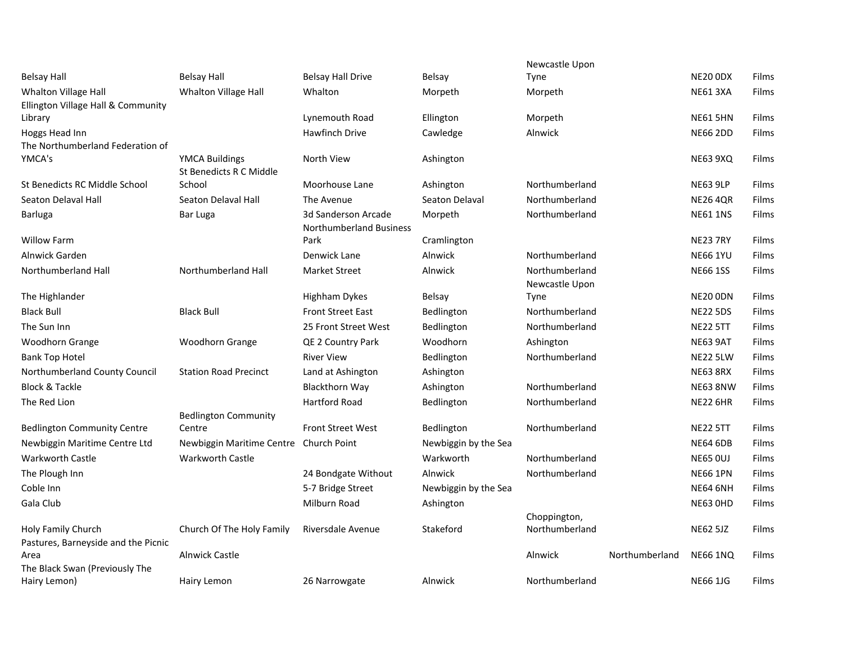|                                             |                              |                                |                      | Newcastle Upon |                |                 |       |
|---------------------------------------------|------------------------------|--------------------------------|----------------------|----------------|----------------|-----------------|-------|
| <b>Belsay Hall</b>                          | <b>Belsay Hall</b>           | <b>Belsay Hall Drive</b>       | <b>Belsay</b>        | <b>Tyne</b>    |                | <b>NE20 0DX</b> | Films |
| Whalton Village Hall                        | Whalton Village Hall         | Whalton                        | Morpeth              | Morpeth        |                | <b>NE61 3XA</b> | Films |
| Ellington Village Hall & Community          |                              |                                |                      |                |                |                 |       |
| Library                                     |                              | Lynemouth Road                 | Ellington            | Morpeth        |                | <b>NE61 5HN</b> | Films |
| Hoggs Head Inn                              |                              | Hawfinch Drive                 | Cawledge             | Alnwick        |                | <b>NE66 2DD</b> | Films |
| The Northumberland Federation of<br>YMCA's  | <b>YMCA Buildings</b>        | North View                     | Ashington            |                |                | <b>NE63 9XQ</b> | Films |
|                                             | St Benedicts R C Middle      |                                |                      |                |                |                 |       |
| St Benedicts RC Middle School               | School                       | Moorhouse Lane                 | Ashington            | Northumberland |                | <b>NE63 9LP</b> | Films |
| Seaton Delaval Hall                         | Seaton Delaval Hall          | The Avenue                     | Seaton Delaval       | Northumberland |                | <b>NE26 4QR</b> | Films |
| Barluga                                     | Bar Luga                     | 3d Sanderson Arcade            | Morpeth              | Northumberland |                | <b>NE61 1NS</b> | Films |
|                                             |                              | <b>Northumberland Business</b> |                      |                |                |                 |       |
| <b>Willow Farm</b>                          |                              | Park                           | Cramlington          |                |                | <b>NE23 7RY</b> | Films |
| Alnwick Garden                              |                              | Denwick Lane                   | Alnwick              | Northumberland |                | <b>NE66 1YU</b> | Films |
| Northumberland Hall                         | Northumberland Hall          | <b>Market Street</b>           | Alnwick              | Northumberland |                | <b>NE66 1SS</b> | Films |
|                                             |                              |                                |                      | Newcastle Upon |                |                 |       |
| The Highlander                              |                              | Highham Dykes                  | <b>Belsay</b>        | <b>Tyne</b>    |                | <b>NE20 ODN</b> | Films |
| <b>Black Bull</b>                           | <b>Black Bull</b>            | <b>Front Street East</b>       | Bedlington           | Northumberland |                | <b>NE22 5DS</b> | Films |
| The Sun Inn                                 |                              | 25 Front Street West           | Bedlington           | Northumberland |                | <b>NE22 5TT</b> | Films |
| Woodhorn Grange                             | Woodhorn Grange              | QE 2 Country Park              | Woodhorn             | Ashington      |                | <b>NE63 9AT</b> | Films |
| <b>Bank Top Hotel</b>                       |                              | <b>River View</b>              | <b>Bedlington</b>    | Northumberland |                | <b>NE22 5LW</b> | Films |
| Northumberland County Council               | <b>Station Road Precinct</b> | Land at Ashington              | Ashington            |                |                | <b>NE63 8RX</b> | Films |
| <b>Block &amp; Tackle</b>                   |                              | <b>Blackthorn Way</b>          | Ashington            | Northumberland |                | <b>NE63 8NW</b> | Films |
| The Red Lion                                |                              | <b>Hartford Road</b>           | Bedlington           | Northumberland |                | <b>NE22 6HR</b> | Films |
|                                             | <b>Bedlington Community</b>  |                                |                      |                |                |                 |       |
| <b>Bedlington Community Centre</b>          | Centre                       | <b>Front Street West</b>       | Bedlington           | Northumberland |                | <b>NE22 5TT</b> | Films |
| Newbiggin Maritime Centre Ltd               | Newbiggin Maritime Centre    | <b>Church Point</b>            | Newbiggin by the Sea |                |                | <b>NE64 6DB</b> | Films |
| <b>Warkworth Castle</b>                     | <b>Warkworth Castle</b>      |                                | Warkworth            | Northumberland |                | <b>NE65 0UJ</b> | Films |
| The Plough Inn                              |                              | 24 Bondgate Without            | Alnwick              | Northumberland |                | <b>NE66 1PN</b> | Films |
| Coble Inn                                   |                              | 5-7 Bridge Street              | Newbiggin by the Sea |                |                | <b>NE64 6NH</b> | Films |
| Gala Club                                   |                              | <b>Milburn Road</b>            | Ashington            |                |                | <b>NE63 OHD</b> | Films |
|                                             |                              |                                |                      | Choppington,   |                |                 |       |
| Holy Family Church                          | Church Of The Holy Family    | Riversdale Avenue              | Stakeford            | Northumberland |                | <b>NE62 5JZ</b> | Films |
| Pastures, Barneyside and the Picnic<br>Area | <b>Alnwick Castle</b>        |                                |                      | <b>Alnwick</b> | Northumberland | <b>NE66 1NQ</b> | Films |
| The Black Swan (Previously The              |                              |                                |                      |                |                |                 |       |
| Hairy Lemon)                                | Hairy Lemon                  | 26 Narrowgate                  | Alnwick              | Northumberland |                | <b>NE66 1JG</b> | Films |
|                                             |                              |                                |                      |                |                |                 |       |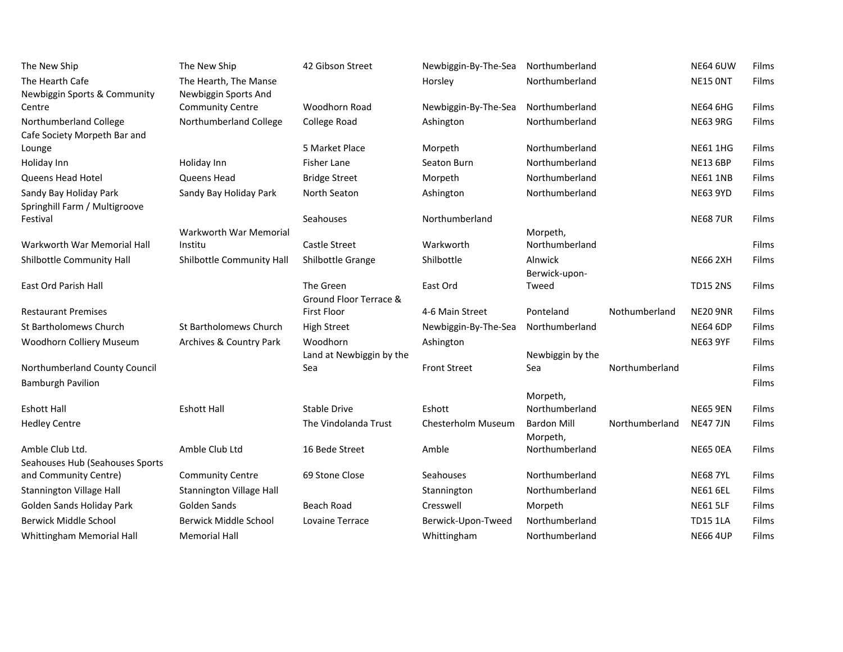| The New Ship                                           | The New Ship                    | 42 Gibson Street                             | Newbiggin-By-The-Sea | Northumberland             |                | <b>NE64 6UW</b> | Films |
|--------------------------------------------------------|---------------------------------|----------------------------------------------|----------------------|----------------------------|----------------|-----------------|-------|
| The Hearth Cafe                                        | The Hearth, The Manse           |                                              | Horsley              | Northumberland             |                | NE15 ONT        | Films |
| Newbiggin Sports & Community                           | Newbiggin Sports And            |                                              |                      |                            |                |                 |       |
| Centre                                                 | <b>Community Centre</b>         | Woodhorn Road                                | Newbiggin-By-The-Sea | Northumberland             |                | <b>NE64 6HG</b> | Films |
| Northumberland College<br>Cafe Society Morpeth Bar and | Northumberland College          | College Road                                 | Ashington            | Northumberland             |                | <b>NE63 9RG</b> | Films |
| Lounge                                                 |                                 | 5 Market Place                               | Morpeth              | Northumberland             |                | <b>NE61 1HG</b> | Films |
| Holiday Inn                                            | Holiday Inn                     | <b>Fisher Lane</b>                           | Seaton Burn          | Northumberland             |                | <b>NE13 6BP</b> | Films |
| Queens Head Hotel                                      | Queens Head                     | <b>Bridge Street</b>                         | Morpeth              | Northumberland             |                | <b>NE61 1NB</b> | Films |
| Sandy Bay Holiday Park                                 | Sandy Bay Holiday Park          | North Seaton                                 | Ashington            | Northumberland             |                | <b>NE63 9YD</b> | Films |
| Springhill Farm / Multigroove                          |                                 |                                              |                      |                            |                |                 |       |
| Festival                                               |                                 | Seahouses                                    | Northumberland       |                            |                | <b>NE68 7UR</b> | Films |
|                                                        | Warkworth War Memorial          |                                              |                      | Morpeth,                   |                |                 |       |
| Warkworth War Memorial Hall                            | Institu                         | <b>Castle Street</b>                         | Warkworth            | Northumberland             |                |                 | Films |
| Shilbottle Community Hall                              | Shilbottle Community Hall       | Shilbottle Grange                            | Shilbottle           | Alnwick<br>Berwick-upon-   |                | <b>NE66 2XH</b> | Films |
| East Ord Parish Hall                                   |                                 | The Green                                    | East Ord             | Tweed                      |                | <b>TD15 2NS</b> | Films |
|                                                        |                                 | Ground Floor Terrace &<br><b>First Floor</b> |                      | Ponteland                  | Nothumberland  | <b>NE20 9NR</b> | Films |
| <b>Restaurant Premises</b>                             |                                 |                                              | 4-6 Main Street      |                            |                |                 |       |
| <b>St Bartholomews Church</b>                          | St Bartholomews Church          | <b>High Street</b>                           | Newbiggin-By-The-Sea | Northumberland             |                | <b>NE64 6DP</b> | Films |
| Woodhorn Colliery Museum                               | Archives & Country Park         | Woodhorn                                     | Ashington            |                            |                | <b>NE63 9YF</b> | Films |
|                                                        |                                 | Land at Newbiggin by the                     | <b>Front Street</b>  | Newbiggin by the           | Northumberland |                 |       |
| Northumberland County Council                          |                                 | Sea                                          |                      | Sea                        |                |                 | Films |
| <b>Bamburgh Pavilion</b>                               |                                 |                                              |                      |                            |                |                 | Films |
| <b>Eshott Hall</b>                                     | <b>Eshott Hall</b>              | Stable Drive                                 | Eshott               | Morpeth,<br>Northumberland |                | <b>NE65 9EN</b> | Films |
| <b>Hedley Centre</b>                                   |                                 | The Vindolanda Trust                         | Chesterholm Museum   | <b>Bardon Mill</b>         | Northumberland | <b>NE47 7JN</b> | Films |
|                                                        |                                 |                                              |                      | Morpeth,                   |                |                 |       |
| Amble Club Ltd.                                        | Amble Club Ltd                  | 16 Bede Street                               | Amble                | Northumberland             |                | NE65 OEA        | Films |
| Seahouses Hub (Seahouses Sports                        |                                 |                                              |                      |                            |                |                 |       |
| and Community Centre)                                  | <b>Community Centre</b>         | 69 Stone Close                               | Seahouses            | Northumberland             |                | <b>NE68 7YL</b> | Films |
| <b>Stannington Village Hall</b>                        | <b>Stannington Village Hall</b> |                                              | Stannington          | Northumberland             |                | <b>NE61 6EL</b> | Films |
| Golden Sands Holiday Park                              | Golden Sands                    | Beach Road                                   | Cresswell            | Morpeth                    |                | <b>NE61 5LF</b> | Films |
| <b>Berwick Middle School</b>                           | Berwick Middle School           | Lovaine Terrace                              | Berwick-Upon-Tweed   | Northumberland             |                | <b>TD15 1LA</b> | Films |
| Whittingham Memorial Hall                              | <b>Memorial Hall</b>            |                                              | Whittingham          | Northumberland             |                | <b>NE66 4UP</b> | Films |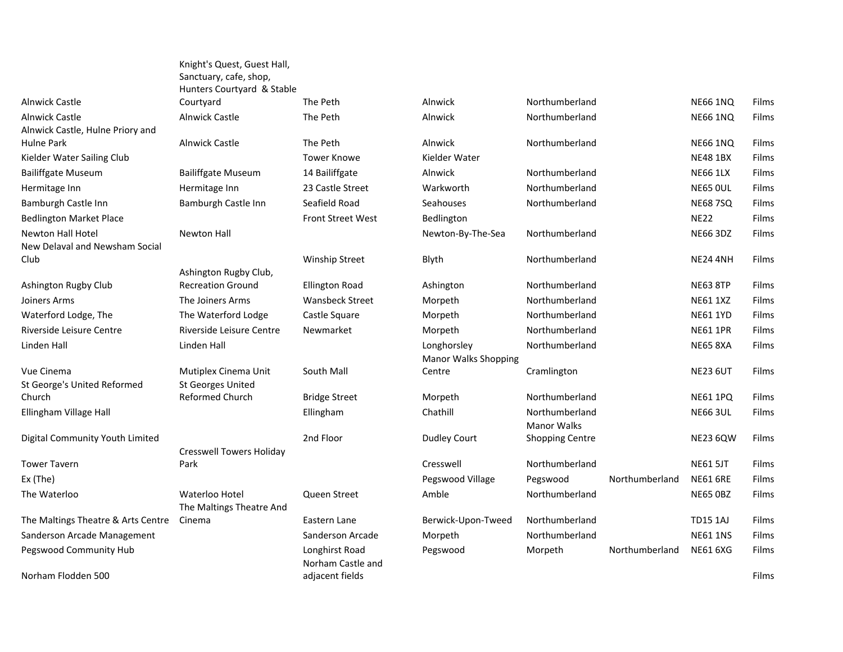|                                       | Hunters Courtyard & Stable                         |                          |                     |
|---------------------------------------|----------------------------------------------------|--------------------------|---------------------|
| <b>Alnwick Castle</b>                 | Courtyard                                          | The Peth                 | Alnwick             |
| <b>Alnwick Castle</b>                 | <b>Alnwick Castle</b>                              | The Peth                 | Alnwick             |
| Alnwick Castle, Hulne Priory and      |                                                    |                          |                     |
| <b>Hulne Park</b>                     | <b>Alnwick Castle</b>                              | The Peth                 | Alnwick             |
| Kielder Water Sailing Club            |                                                    | <b>Tower Knowe</b>       | Kielder Water       |
| <b>Bailiffgate Museum</b>             | <b>Bailiffgate Museum</b>                          | 14 Bailiffgate           | Alnwick             |
| Hermitage Inn                         | Hermitage Inn                                      | 23 Castle Street         | Warkworth           |
| Bamburgh Castle Inn                   | Bamburgh Castle Inn                                | Seafield Road            | Seahouses           |
| <b>Bedlington Market Place</b>        |                                                    | <b>Front Street West</b> | Bedlington          |
| Newton Hall Hotel                     | <b>Newton Hall</b>                                 |                          | Newton-By-Tl        |
| New Delaval and Newsham Social        |                                                    |                          |                     |
| Club                                  |                                                    | <b>Winship Street</b>    | Blyth               |
|                                       | Ashington Rugby Club,                              |                          |                     |
| Ashington Rugby Club                  | <b>Recreation Ground</b>                           | <b>Ellington Road</b>    | Ashington           |
| Joiners Arms                          | The Joiners Arms                                   | <b>Wansbeck Street</b>   | Morpeth             |
| Waterford Lodge, The                  | The Waterford Lodge                                | Castle Square            | Morpeth             |
| Riverside Leisure Centre              | Riverside Leisure Centre                           | Newmarket                | Morpeth             |
| Linden Hall                           | Linden Hall                                        |                          | Longhorsley         |
|                                       |                                                    |                          | <b>Manor Walks</b>  |
| Vue Cinema                            | Mutiplex Cinema Unit                               | South Mall               | Centre              |
| St George's United Reformed<br>Church | <b>St Georges United</b><br><b>Reformed Church</b> |                          |                     |
|                                       |                                                    | <b>Bridge Street</b>     | Morpeth             |
| Ellingham Village Hall                |                                                    | Ellingham                | Chathill            |
| Digital Community Youth Limited       |                                                    | 2nd Floor                | <b>Dudley Court</b> |
|                                       | <b>Cresswell Towers Holiday</b>                    |                          |                     |
| <b>Tower Tavern</b>                   | Park                                               |                          | Cresswell           |
| Ex (The)                              |                                                    |                          | Pegswood Vil        |
| The Waterloo                          | Waterloo Hotel                                     | Queen Street             | Amble               |
|                                       | The Maltings Theatre And                           |                          |                     |
| The Maltings Theatre & Arts Centre    | Cinema                                             | Eastern Lane             | Berwick-Upor        |
| Sanderson Arcade Management           |                                                    | Sanderson Arcade         | Morpeth             |
| Pegswood Community Hub                |                                                    | Longhirst Road           | Pegswood            |
|                                       |                                                    | Norham Castle and        |                     |
| Norham Flodden 500                    |                                                    | adjacent fields          |                     |

Knight's Quest, Guest Hall, Sanctuary, cafe, shop, d & Stable Club,

**Holiday** atre And Norham Castle and adjacent fields Films and the control of the control of the control of the control of the control of the control of the control of the control of the control of the control of the control of the control of the control of t

| Alnwick Castle                     | Courtyard                       | The Peth                 | Alnwick                     | Northumberland         |                | <b>NE66 1NQ</b> | Films |
|------------------------------------|---------------------------------|--------------------------|-----------------------------|------------------------|----------------|-----------------|-------|
| <b>Alnwick Castle</b>              | <b>Alnwick Castle</b>           | The Peth                 | Alnwick                     | Northumberland         |                | <b>NE66 1NO</b> | Films |
| Alnwick Castle, Hulne Priory and   |                                 |                          |                             |                        |                |                 |       |
| Hulne Park                         | <b>Alnwick Castle</b>           | The Peth                 | Alnwick                     | Northumberland         |                | <b>NE66 1NQ</b> | Films |
| Kielder Water Sailing Club         |                                 | <b>Tower Knowe</b>       | Kielder Water               |                        |                | <b>NE48 1BX</b> | Films |
| <b>Bailiffgate Museum</b>          | <b>Bailiffgate Museum</b>       | 14 Bailiffgate           | Alnwick                     | Northumberland         |                | <b>NE66 1LX</b> | Films |
| Hermitage Inn                      | Hermitage Inn                   | 23 Castle Street         | Warkworth                   | Northumberland         |                | <b>NE65 OUL</b> | Films |
| Bamburgh Castle Inn                | Bamburgh Castle Inn             | Seafield Road            | Seahouses                   | Northumberland         |                | <b>NE68 7SQ</b> | Films |
| <b>Bedlington Market Place</b>     |                                 | <b>Front Street West</b> | Bedlington                  |                        |                | <b>NE22</b>     | Films |
| Newton Hall Hotel                  | <b>Newton Hall</b>              |                          | Newton-By-The-Sea           | Northumberland         |                | <b>NE66 3DZ</b> | Films |
| New Delaval and Newsham Social     |                                 |                          |                             |                        |                |                 |       |
| Club                               |                                 | <b>Winship Street</b>    | Blyth                       | Northumberland         |                | <b>NE24 4NH</b> | Films |
|                                    | Ashington Rugby Club,           |                          |                             |                        |                |                 |       |
| Ashington Rugby Club               | <b>Recreation Ground</b>        | <b>Ellington Road</b>    | Ashington                   | Northumberland         |                | <b>NE63 8TP</b> | Films |
| Joiners Arms                       | The Joiners Arms                | <b>Wansbeck Street</b>   | Morpeth                     | Northumberland         |                | <b>NE61 1XZ</b> | Films |
| Waterford Lodge, The               | The Waterford Lodge             | Castle Square            | Morpeth                     | Northumberland         |                | <b>NE61 1YD</b> | Films |
| Riverside Leisure Centre           | Riverside Leisure Centre        | Newmarket                | Morpeth                     | Northumberland         |                | <b>NE61 1PR</b> | Films |
| Linden Hall                        | Linden Hall                     |                          | Longhorsley                 | Northumberland         |                | <b>NE65 8XA</b> | Films |
|                                    |                                 |                          | <b>Manor Walks Shopping</b> |                        |                |                 |       |
| Vue Cinema                         | Mutiplex Cinema Unit            | South Mall               | Centre                      | Cramlington            |                | <b>NE23 6UT</b> | Films |
| St George's United Reformed        | <b>St Georges United</b>        |                          |                             |                        |                |                 |       |
| Church                             | Reformed Church                 | <b>Bridge Street</b>     | Morpeth                     | Northumberland         |                | <b>NE61 1PQ</b> | Films |
| Ellingham Village Hall             |                                 | Ellingham                | Chathill                    | Northumberland         |                | <b>NE66 3UL</b> | Films |
|                                    |                                 |                          |                             | <b>Manor Walks</b>     |                |                 |       |
| Digital Community Youth Limited    |                                 | 2nd Floor                | <b>Dudley Court</b>         | <b>Shopping Centre</b> |                | <b>NE23 6QW</b> | Films |
|                                    | <b>Cresswell Towers Holiday</b> |                          |                             |                        |                |                 |       |
| <b>Tower Tavern</b>                | Park                            |                          | Cresswell                   | Northumberland         |                | <b>NE61 5JT</b> | Films |
| Ex (The)                           |                                 |                          | Pegswood Village            | Pegswood               | Northumberland | <b>NE61 6RE</b> | Films |
| The Waterloo                       | Waterloo Hotel                  | Queen Street             | Amble                       | Northumberland         |                | <b>NE65 OBZ</b> | Films |
|                                    | The Maltings Theatre And        |                          |                             |                        |                |                 |       |
| The Maltings Theatre & Arts Centre | Cinema                          | Eastern Lane             | Berwick-Upon-Tweed          | Northumberland         |                | <b>TD15 1AJ</b> | Films |
| Sanderson Arcade Management        |                                 | Sanderson Arcade         | Morpeth                     | Northumberland         |                | <b>NE61 1NS</b> | Films |
| Pegswood Community Hub             |                                 | Longhirst Road           | Pegswood                    | Morpeth                | Northumberland | <b>NE61 6XG</b> | Films |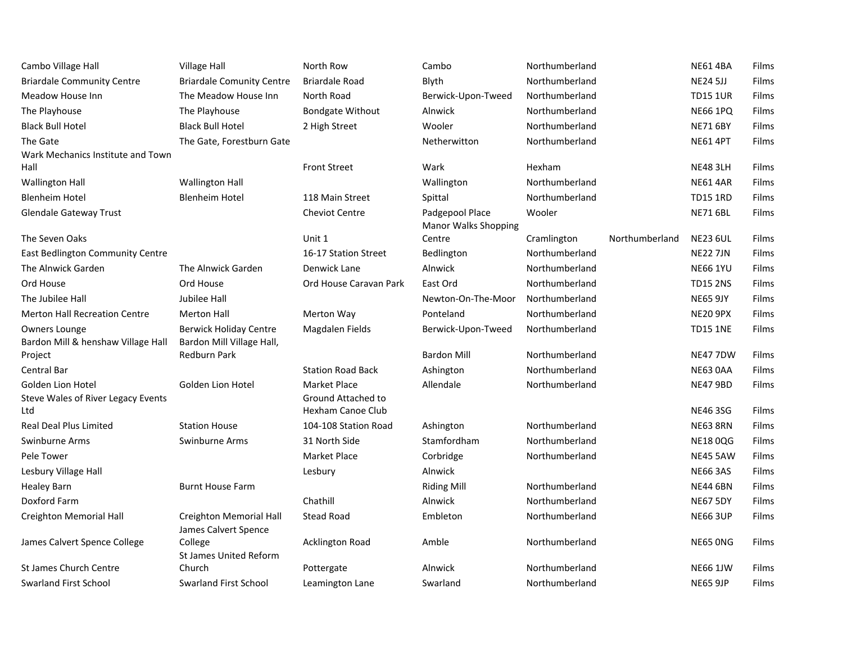| Cambo Village Hall                            | <b>Village Hall</b>                              | North Row                | Cambo                       | Northumberland |                | <b>NE61 4BA</b> | Films |
|-----------------------------------------------|--------------------------------------------------|--------------------------|-----------------------------|----------------|----------------|-----------------|-------|
| <b>Briardale Community Centre</b>             | <b>Briardale Comunity Centre</b>                 | <b>Briardale Road</b>    | Blyth                       | Northumberland |                | <b>NE24 5JJ</b> | Films |
| Meadow House Inn                              | The Meadow House Inn                             | North Road               | Berwick-Upon-Tweed          | Northumberland |                | <b>TD15 1UR</b> | Films |
| The Playhouse                                 | The Playhouse                                    | <b>Bondgate Without</b>  | Alnwick                     | Northumberland |                | <b>NE66 1PQ</b> | Films |
| <b>Black Bull Hotel</b>                       | <b>Black Bull Hotel</b>                          | 2 High Street            | Wooler                      | Northumberland |                | <b>NE71 6BY</b> | Films |
| The Gate                                      | The Gate, Forestburn Gate                        |                          | Netherwitton                | Northumberland |                | <b>NE61 4PT</b> | Films |
| Wark Mechanics Institute and Town             |                                                  |                          |                             |                |                |                 |       |
| Hall                                          |                                                  | <b>Front Street</b>      | Wark                        | Hexham         |                | <b>NE48 3LH</b> | Films |
| <b>Wallington Hall</b>                        | <b>Wallington Hall</b>                           |                          | Wallington                  | Northumberland |                | <b>NE61 4AR</b> | Films |
| <b>Blenheim Hotel</b>                         | <b>Blenheim Hotel</b>                            | 118 Main Street          | Spittal                     | Northumberland |                | <b>TD15 1RD</b> | Films |
| <b>Glendale Gateway Trust</b>                 |                                                  | <b>Cheviot Centre</b>    | Padgepool Place             | Wooler         |                | <b>NE71 6BL</b> | Films |
|                                               |                                                  |                          | <b>Manor Walks Shopping</b> |                |                |                 |       |
| The Seven Oaks                                |                                                  | Unit 1                   | Centre                      | Cramlington    | Northumberland | <b>NE23 6UL</b> | Films |
| East Bedlington Community Centre              |                                                  | 16-17 Station Street     | Bedlington                  | Northumberland |                | <b>NE22 7JN</b> | Films |
| The Alnwick Garden                            | The Alnwick Garden                               | Denwick Lane             | Alnwick                     | Northumberland |                | <b>NE66 1YU</b> | Films |
| Ord House                                     | Ord House                                        | Ord House Caravan Park   | East Ord                    | Northumberland |                | <b>TD15 2NS</b> | Films |
| The Jubilee Hall                              | Jubilee Hall                                     |                          | Newton-On-The-Moor          | Northumberland |                | <b>NE65 9JY</b> | Films |
| <b>Merton Hall Recreation Centre</b>          | <b>Merton Hall</b>                               | Merton Way               | Ponteland                   | Northumberland |                | <b>NE20 9PX</b> | Films |
| Owners Lounge                                 | <b>Berwick Holiday Centre</b>                    | Magdalen Fields          | Berwick-Upon-Tweed          | Northumberland |                | <b>TD15 1NE</b> | Films |
| Bardon Mill & henshaw Village Hall<br>Project | Bardon Mill Village Hall,<br><b>Redburn Park</b> |                          | <b>Bardon Mill</b>          | Northumberland |                | <b>NE47 7DW</b> | Films |
| Central Bar                                   |                                                  | <b>Station Road Back</b> | Ashington                   | Northumberland |                | NE63 0AA        | Films |
| Golden Lion Hotel                             | Golden Lion Hotel                                | Market Place             | Allendale                   | Northumberland |                | <b>NE47 9BD</b> | Films |
| Steve Wales of River Legacy Events            |                                                  | Ground Attached to       |                             |                |                |                 |       |
| Ltd                                           |                                                  | Hexham Canoe Club        |                             |                |                | <b>NE46 3SG</b> | Films |
| <b>Real Deal Plus Limited</b>                 | <b>Station House</b>                             | 104-108 Station Road     | Ashington                   | Northumberland |                | <b>NE63 8RN</b> | Films |
| Swinburne Arms                                | Swinburne Arms                                   | 31 North Side            | Stamfordham                 | Northumberland |                | <b>NE1800G</b>  | Films |
| Pele Tower                                    |                                                  | <b>Market Place</b>      | Corbridge                   | Northumberland |                | <b>NE45 5AW</b> | Films |
| Lesbury Village Hall                          |                                                  | Lesbury                  | Alnwick                     |                |                | <b>NE66 3AS</b> | Films |
| <b>Healey Barn</b>                            | <b>Burnt House Farm</b>                          |                          | <b>Riding Mill</b>          | Northumberland |                | <b>NE44 6BN</b> | Films |
| Doxford Farm                                  |                                                  | Chathill                 | Alnwick                     | Northumberland |                | <b>NE67 5DY</b> | Films |
| Creighton Memorial Hall                       | Creighton Memorial Hall                          | <b>Stead Road</b>        | Embleton                    | Northumberland |                | <b>NE66 3UP</b> | Films |
|                                               | James Calvert Spence                             |                          |                             |                |                |                 |       |
| James Calvert Spence College                  | College                                          | <b>Acklington Road</b>   | Amble                       | Northumberland |                | NE65 ONG        | Films |
|                                               | <b>St James United Reform</b>                    |                          |                             |                |                |                 |       |
| <b>St James Church Centre</b>                 | Church                                           | Pottergate               | Alnwick                     | Northumberland |                | <b>NE66 1JW</b> | Films |
| <b>Swarland First School</b>                  | <b>Swarland First School</b>                     | Leamington Lane          | Swarland                    | Northumberland |                | <b>NE65 9JP</b> | Films |
|                                               |                                                  |                          |                             |                |                |                 |       |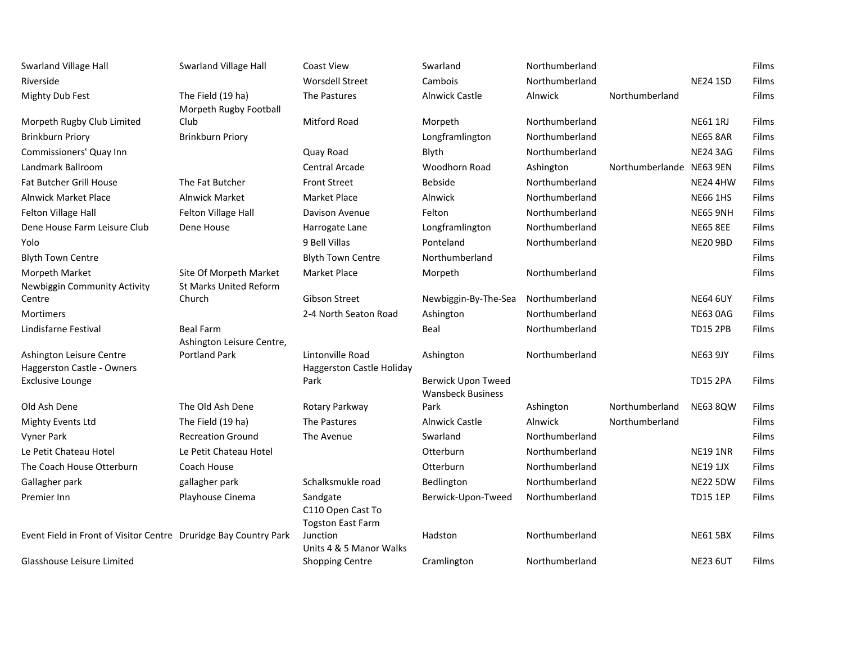| <b>Swarland Village Hall</b><br>Riverside                        | Swarland Village Hall                       | <b>Coast View</b><br><b>Worsdell Street</b>               | Swarland<br>Cambois                                   | Northumberland<br>Northumberland |                          | <b>NE24 1SD</b> | Films<br>Films |
|------------------------------------------------------------------|---------------------------------------------|-----------------------------------------------------------|-------------------------------------------------------|----------------------------------|--------------------------|-----------------|----------------|
| <b>Mighty Dub Fest</b>                                           | The Field (19 ha)<br>Morpeth Rugby Football | The Pastures                                              | <b>Alnwick Castle</b>                                 | Alnwick                          | Northumberland           |                 | Films          |
| Morpeth Rugby Club Limited                                       | Club                                        | <b>Mitford Road</b>                                       | Morpeth                                               | Northumberland                   |                          | <b>NE61 1RJ</b> | Films          |
| <b>Brinkburn Priory</b>                                          | <b>Brinkburn Priory</b>                     |                                                           | Longframlington                                       | Northumberland                   |                          | <b>NE65 8AR</b> | Films          |
| Commissioners' Quay Inn                                          |                                             | Quay Road                                                 | Blyth                                                 | Northumberland                   |                          | <b>NE24 3AG</b> | Films          |
| Landmark Ballroom                                                |                                             | Central Arcade                                            | Woodhorn Road                                         | Ashington                        | Northumberlande NE63 9EN |                 | Films          |
| <b>Fat Butcher Grill House</b>                                   | The Fat Butcher                             | <b>Front Street</b>                                       | <b>Bebside</b>                                        | Northumberland                   |                          | <b>NE24 4HW</b> | Films          |
| <b>Alnwick Market Place</b>                                      | <b>Alnwick Market</b>                       | Market Place                                              | Alnwick                                               | Northumberland                   |                          | <b>NE66 1HS</b> | Films          |
| Felton Village Hall                                              | Felton Village Hall                         | Davison Avenue                                            | Felton                                                | Northumberland                   |                          | <b>NE65 9NH</b> | Films          |
| Dene House Farm Leisure Club                                     | Dene House                                  | Harrogate Lane                                            | Longframlington                                       | Northumberland                   |                          | <b>NE65 8EE</b> | Films          |
| Yolo                                                             |                                             | 9 Bell Villas                                             | Ponteland                                             | Northumberland                   |                          | <b>NE20 9BD</b> | Films          |
| <b>Blyth Town Centre</b>                                         |                                             | <b>Blyth Town Centre</b>                                  | Northumberland                                        |                                  |                          |                 | Films          |
| Morpeth Market                                                   | Site Of Morpeth Market                      | Market Place                                              | Morpeth                                               | Northumberland                   |                          |                 | Films          |
| Newbiggin Community Activity                                     | <b>St Marks United Reform</b>               |                                                           |                                                       |                                  |                          |                 |                |
| Centre                                                           | Church                                      | Gibson Street                                             | Newbiggin-By-The-Sea                                  | Northumberland                   |                          | <b>NE64 6UY</b> | Films          |
| <b>Mortimers</b>                                                 |                                             | 2-4 North Seaton Road                                     | Ashington                                             | Northumberland                   |                          | <b>NE63 0AG</b> | Films          |
| Lindisfarne Festival                                             | <b>Beal Farm</b>                            |                                                           | Beal                                                  | Northumberland                   |                          | <b>TD15 2PB</b> | Films          |
|                                                                  | Ashington Leisure Centre,                   |                                                           |                                                       |                                  |                          |                 |                |
| Ashington Leisure Centre<br>Haggerston Castle - Owners           | <b>Portland Park</b>                        | Lintonville Road<br><b>Haggerston Castle Holiday</b>      | Ashington                                             | Northumberland                   |                          | <b>NE63 9JY</b> | Films          |
| <b>Exclusive Lounge</b>                                          |                                             | Park                                                      | <b>Berwick Upon Tweed</b><br><b>Wansbeck Business</b> |                                  |                          | <b>TD15 2PA</b> | Films          |
| Old Ash Dene                                                     | The Old Ash Dene                            | Rotary Parkway                                            | Park                                                  | Ashington                        | Northumberland           | <b>NE63 8QW</b> | Films          |
| Mighty Events Ltd                                                | The Field (19 ha)                           | The Pastures                                              | <b>Alnwick Castle</b>                                 | Alnwick                          | Northumberland           |                 | Films          |
| Vyner Park                                                       | <b>Recreation Ground</b>                    | The Avenue                                                | Swarland                                              | Northumberland                   |                          |                 | Films          |
| Le Petit Chateau Hotel                                           | Le Petit Chateau Hotel                      |                                                           | Otterburn                                             | Northumberland                   |                          | <b>NE19 1NR</b> | Films          |
| The Coach House Otterburn                                        | Coach House                                 |                                                           | Otterburn                                             | Northumberland                   |                          | <b>NE19 1JX</b> | Films          |
| Gallagher park                                                   | gallagher park                              | Schalksmukle road                                         | <b>Bedlington</b>                                     | Northumberland                   |                          | <b>NE22 5DW</b> | Films          |
| Premier Inn                                                      | Playhouse Cinema                            | Sandgate<br>C110 Open Cast To<br><b>Togston East Farm</b> | Berwick-Upon-Tweed                                    | Northumberland                   |                          | <b>TD15 1EP</b> | Films          |
| Event Field in Front of Visitor Centre Druridge Bay Country Park |                                             | Junction<br>Units 4 & 5 Manor Walks                       | Hadston                                               | Northumberland                   |                          | <b>NE61 5BX</b> | Films          |
| Glasshouse Leisure Limited                                       |                                             | <b>Shopping Centre</b>                                    | Cramlington                                           | Northumberland                   |                          | <b>NE23 6UT</b> | Films          |